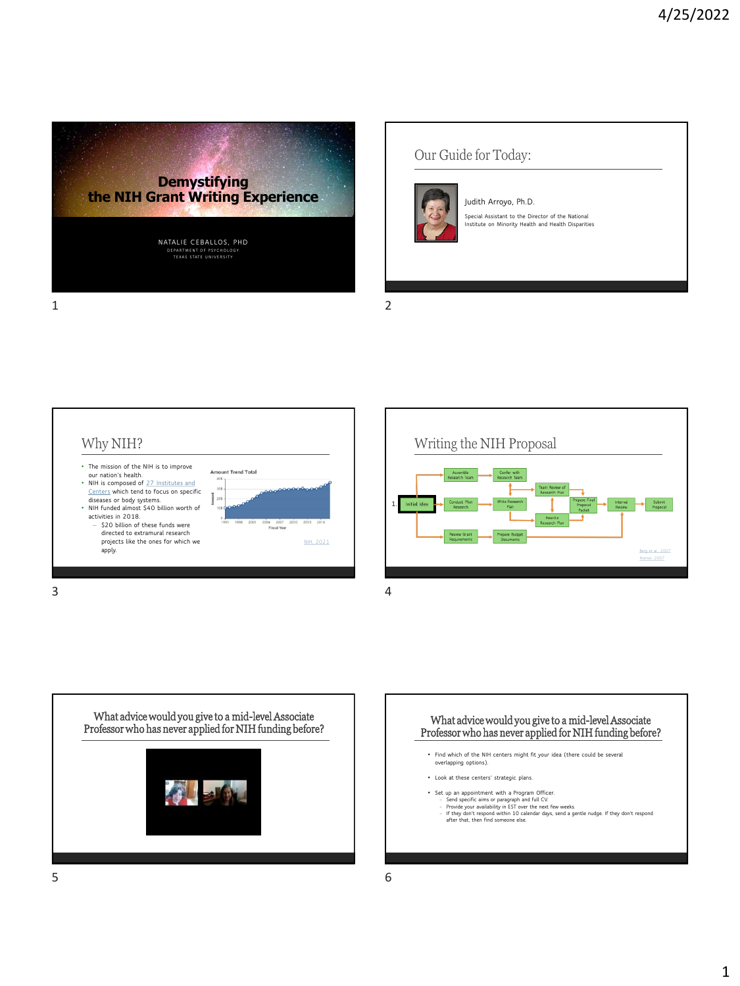

Our Guide for Today:



**Judith Arroyo, Ph.D. Special Assistant to the Director of the National Institute on Minority Health and Health Disparities**







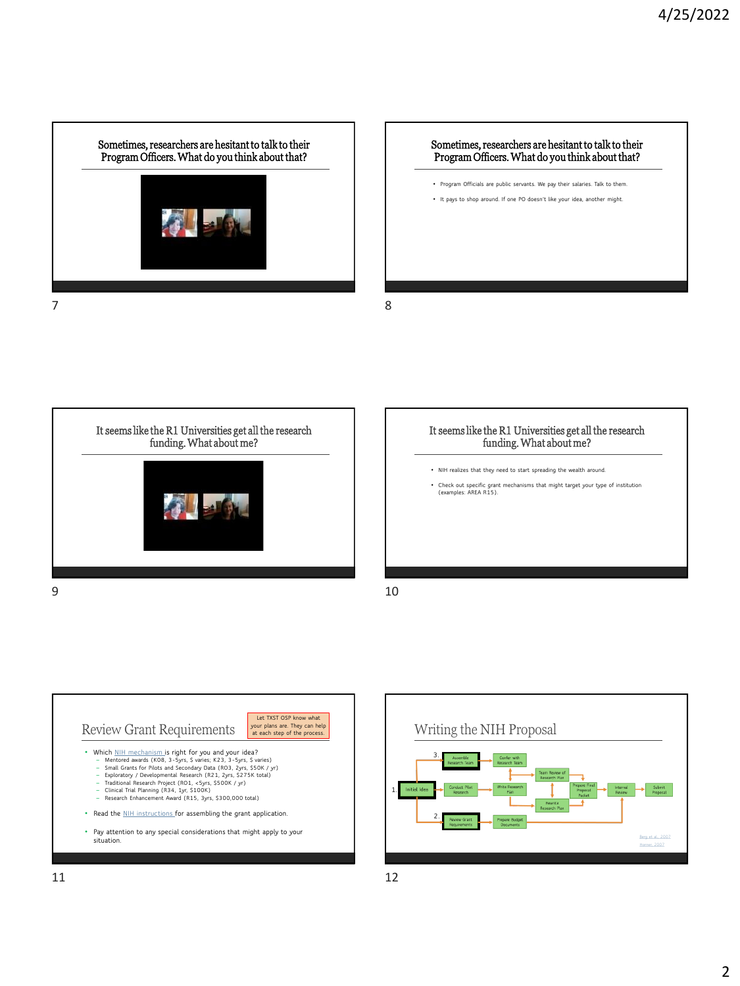Sometimes, researchers are hesitant to talk to their Program Officers. What do you think about that? 7 8

# Sometimes, researchers are hesitant to talk to their Program Officers. What do you think about that? • **Program Officials are public servants. We pay their salaries. Talk to them.** • **It pays to shop around. If one PO doesn't like your idea, another might.**



#### It seems like the R1 Universities get all the research funding. What about me?

- **NIH realizes that they need to start spreading the wealth around.**
- **Check out specific grant mechanisms that might target your type of institution (examples: AREA R15).**



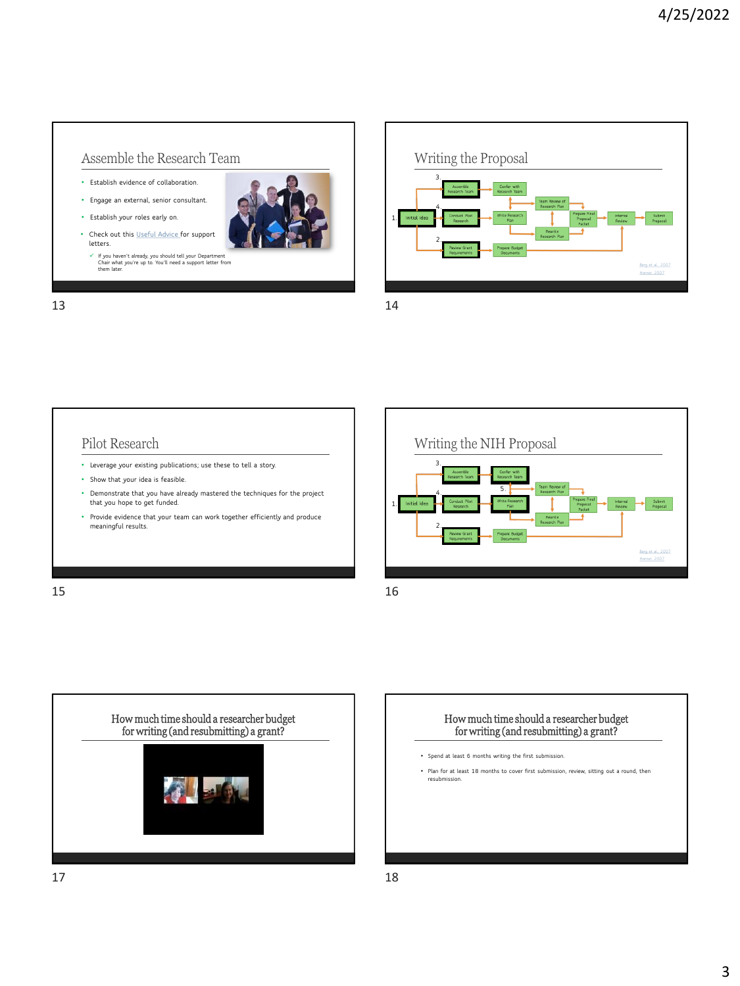[Berg et al., 2007](https://pubmed.ncbi.nlm.nih.gov/17687616/) [Horner, 2007](https://www.ncbi.nlm.nih.gov/pmc/articles/PMC2219816/)

#### Assemble the Research Team

- **Establish evidence of collaboration.**
- **Engage an external, senior consultant.**
- **Establish your roles early on.**
- **Check out this [Useful Advice f](https://www.niaid.nih.gov/grants-contracts/letters-of-support)or support letters.** 
	- ✓ **If you haven't already, you should tell your Department Chair what you're up to. You'll need a support letter from them later.**

13 14

Writing the Proposal **3. 2. 1. 4.** [Berg et al., 2007](https://pubmed.ncbi.nlm.nih.gov/17687616/)

#### Pilot Research

- **Leverage your existing publications; use these to tell a story.**
- **Show that your idea is feasible.**
- **Demonstrate that you have already mastered the techniques for the project that you hope to get funded.**
- **Provide evidence that your team can work together efficiently and produce meaningful results.**
- **2. 1. 4. 5.**

**3.**

 $15$  16





• **Spend at least 6 months writing the first submission.** 

Writing the NIH Proposal

• **Plan for at least 18 months to cover first submission, review, sitting out a round, then resubmission.**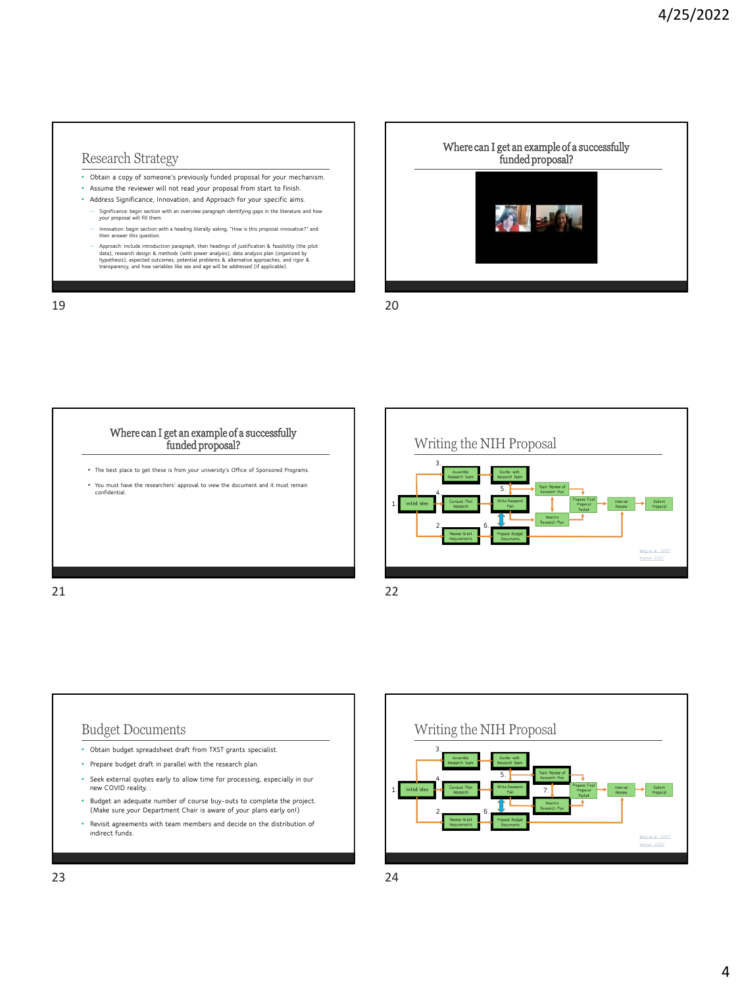#### Research Strategy

- **Obtain a copy of someone's previously funded proposal for your mechanism.**
- **Assume the reviewer will not read your proposal from start to finish.**
- **Address Significance, Innovation, and Approach for your specific aims.**
	- − **Significance: begin section with an overview paragraph identifying gaps in the literature and how your proposal will fill them.**
	- − **Innovation: begin section with a heading literally asking, "How is this proposal innovative?" and then answer this question.**
	- Approach: include introduction paragraph, then headings of justification & feasibility (the pilot<br>data), research design & methods (with power analysis), data analysis plan (organized by<br>hypothesis), expected outcomes, p

19 20









- **(Make sure your Department Chair is aware of your plans early on!)**
- **Revisit agreements with team members and decide on the distribution of indirect funds.**

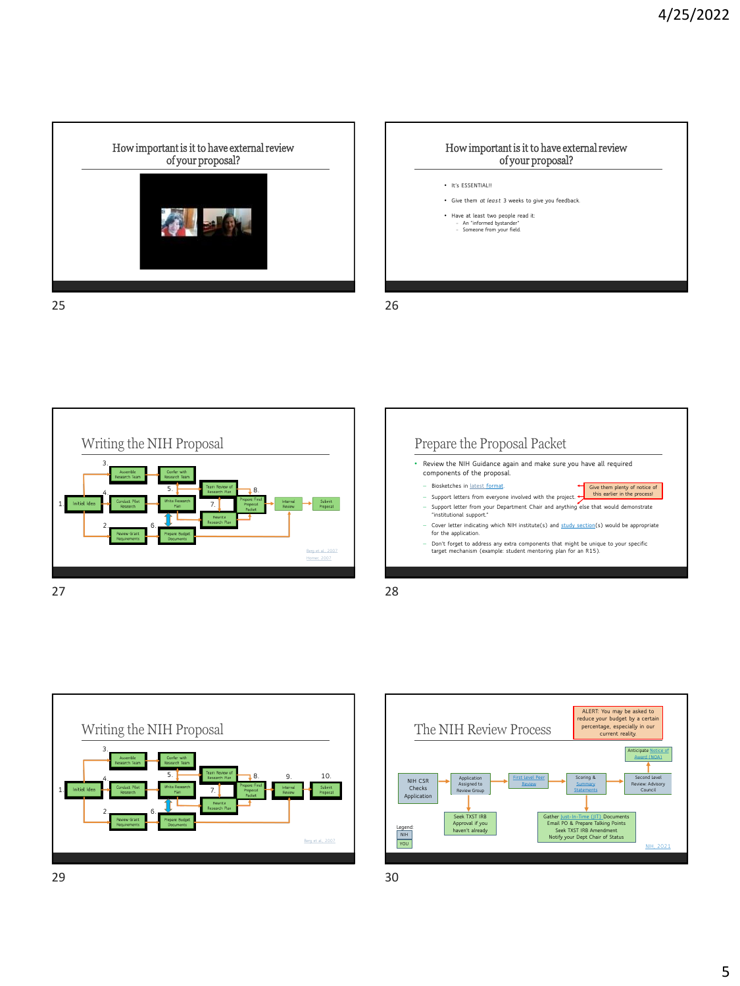











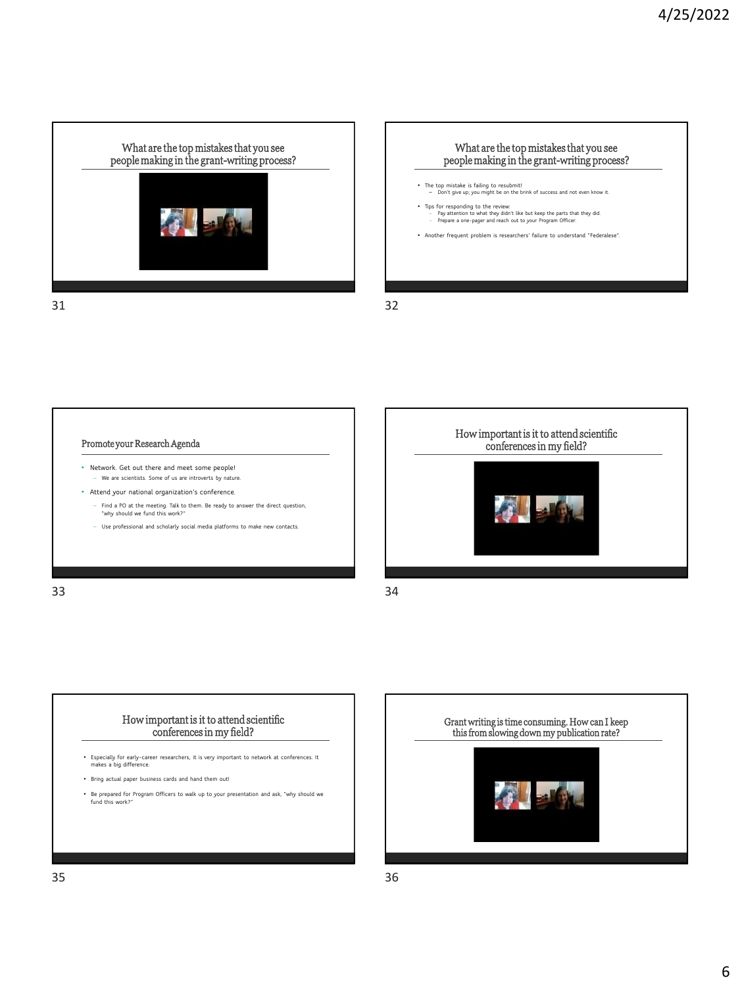



Promote your Research Agenda

- **Network. Get out there and meet some people!**  − **We are scientists. Some of us are introverts by nature.**
- **Attend your national organization's conference.** 
	- − **Find a PO at the meeting. Talk to them. Be ready to answer the direct question, "why should we fund this work?"**
	- − **Use professional and scholarly social media platforms to make new contacts.**

33 34



#### How important is it to attend scientific conferences in my field?

- **Especially for early-career researchers, it is very important to network at conferences. It makes a big difference.**
- **Bring actual paper business cards and hand them out!**
- **Be prepared for Program Officers to walk up to your presentation and ask, "why should we fund this work?"**